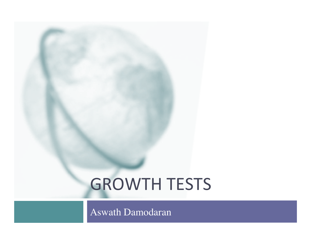# **GROWTH TESTS**

Aswath Damodaran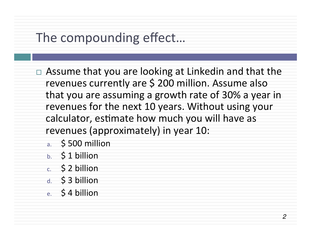## The compounding effect...

- $\Box$  Assume that you are looking at Linkedin and that the revenues currently are \$ 200 million. Assume also that you are assuming a growth rate of 30% a year in revenues for the next 10 years. Without using your calculator, estimate how much you will have as revenues (approximately) in year 10:
	- a. \$500 million
	- $b. 51 billion$
	- $c. 52 billion$
	- d.  $\frac{1}{2}$  3 billion
	- e.  $$4$  billion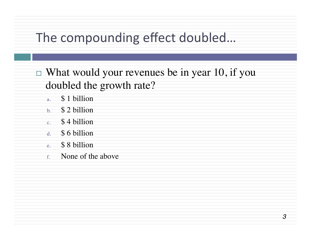## The compounding effect doubled...

 $\Box$  What would your revenues be in year 10, if you doubled the growth rate?

- a. \$ 1 billion
- b. \$ 2 billion
- c. \$ 4 billion
- d. \$ 6 billion
- e. \$ 8 billion
- f. None of the above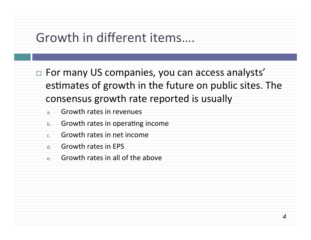#### Growth in different items....

 $\Box$  For many US companies, you can access analysts' estimates of growth in the future on public sites. The consensus growth rate reported is usually

*4*

- a. Growth rates in revenues
- $b.$  Growth rates in operating income
- $c$  Growth rates in net income
- d Growth rates in FPS
- $e.$  Growth rates in all of the above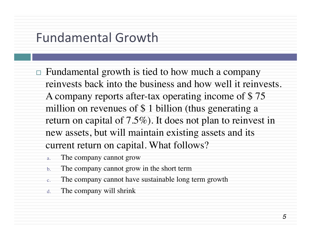#### Fundamental Growth

- $\Box$  Fundamental growth is tied to how much a company reinvests back into the business and how well it reinvests. A company reports after-tax operating income of \$ 75 million on revenues of \$ 1 billion (thus generating a return on capital of 7.5%). It does not plan to reinvest in new assets, but will maintain existing assets and its current return on capital. What follows?
	- a. The company cannot grow
	- b. The company cannot grow in the short term
	- c. The company cannot have sustainable long term growth
	- d. The company will shrink